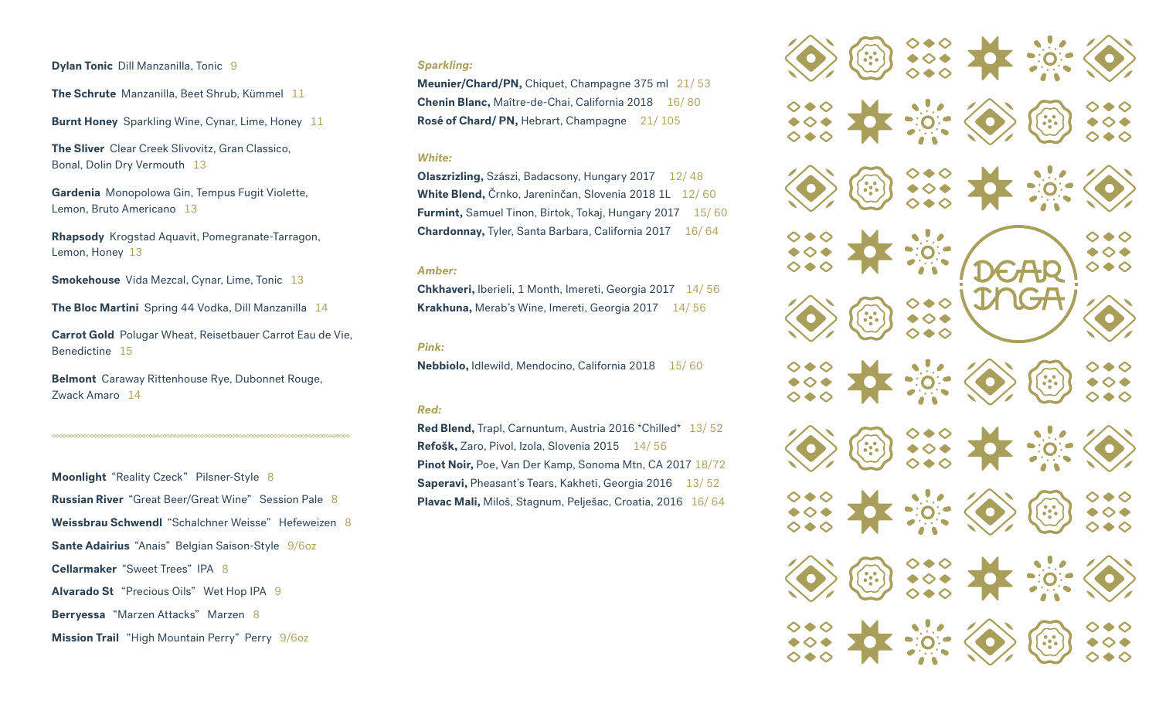**Dylan Tonic Dill Manzanilla, Tonic 9** 

**The Schrute** Manzanilla, Beet Shrub, Kümmel 11

**Burnt Honey** Sparkling Wine, Cynar, Lime, Honey 11

**The Sliver** Clear Creek Slivovitz, Gran Classico, Bonal, Dolin Dry Vermouth 13

**Gardenia** Monopolowa Gin, Tempus Fugit Violette, Lemon, Bruto Americano 13

**Rhapsody** Krogstad Aquavit, Pomegranate-Tarragon, Lemon, Honey 13

**Smokehouse** Vida Mezcal, Cynar, Lime, Tonic 13

**The Bloc Martini** Spring 44 Vodka, Dill Manzanilla 14

**Carrot Gold** Polugar Wheat, Reisetbauer Carrot Eau de Vie, Benedictine 15

**Belmont** Caraway Rittenhouse Rye, Dubonnet Rouge, Zwack Amaro 14

**Moonlight** "Reality Czeck" Pilsner-Style 8 **Russian River** "Great Beer/Great Wine" Session Pale 8 **Weissbrau Schwendl** "Schalchner Weisse" Hefeweizen 8 **Sante Adairius** "Anais" Belgian Saison-Style 9/6oz **Cellarmaker** "Sweet Trees" IPA 8 **Alvarado St** "Precious Oils" Wet Hop IPA 9 **Berryessa** "Marzen Attacks" Marzen 8 **Mission Trail** "High Mountain Perry" Perry 9/6oz

### *Sparkling:*

**Meunier/Chard/PN,** Chiquet, Champagne 375 ml 21/ 53 **Chenin Blanc, Maître-de-Chai, California 2018** 16/80 **Rosé of Chard/ PN, Hebrart, Champagne** 21/105

# *White:*

**Olaszrizling, Szászi, Badacsony, Hungary 2017** 12/48 **White Blend,** Črnko, Jareninčan, Slovenia 2018 1L 12/ 60 **Furmint, Samuel Tinon, Birtok, Tokaj, Hungary 2017 15/60 Chardonnay,** Tyler, Santa Barbara, California 2017 16/64

### *Amber:*

**Chkhaveri,** Iberieli, 1 Month, Imereti, Georgia 2017 14/ 56 **Krakhuna,** Merab's Wine, Imereti, Georgia 2017 14/ 56

### *Pink:*

Nebbiolo, Idlewild, Mendocino, California 2018 15/60

## *Red:*

**Red Blend,** Trapl, Carnuntum, Austria 2016 \*Chilled\* 13/ 52 Refošk, Zaro, Pivol, Izola, Slovenia 2015 14/ 56 **Pinot Noir,** Poe, Van Der Kamp, Sonoma Mtn, CA 2017 18/72 Saperavi, Pheasant's Tears, Kakheti, Georgia 2016 13/52 **Plavac Mali,** Miloš, Stagnum, Pelješac, Croatia, 2016 16/ 64